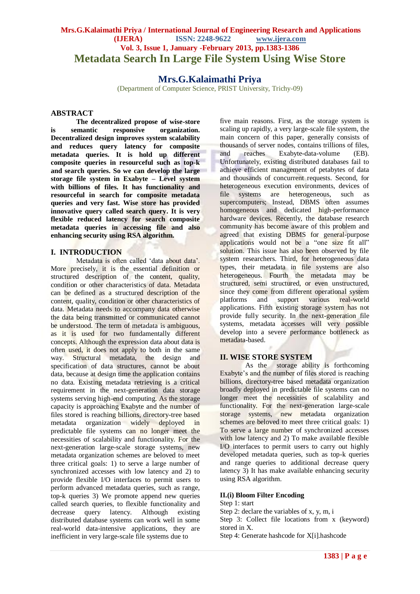# **Mrs.G.Kalaimathi Priya / International Journal of Engineering Research and Applications (IJERA) ISSN: 2248-9622 www.ijera.com Vol. 3, Issue 1, January -February 2013, pp.1383-1386 Metadata Search In Large File System Using Wise Store**

# **Mrs.G.Kalaimathi Priya**

(Department of Computer Science, PRIST University, Trichy-09)

### **ABSTRACT**

**The decentralized propose of wise-store is semantic responsive organization. Decentralized design improves system scalability and reduces query latency for composite metadata queries. It is hold up different composite queries in resourceful such as top-k and search queries. So we can develop the large storage file system in Exabyte – Level system with billions of files. It has functionality and resourceful in search for composite metadata queries and very fast. Wise store has provided innovative query called search query. It is very flexible reduced latency for search composite metadata queries in accessing file and also enhancing security using RSA algorithm.** 

## **I. INTRODUCTION**

Metadata is often called 'data about data'. More precisely, it is the essential definition or structured description of the content, quality, condition or other characteristics of data. Metadata can be defined as a structured description of the content, quality, condition or other characteristics of data. Metadata needs to accompany data otherwise the data being transmitted or communicated cannot be understood. The term of metadata is ambiguous, as it is used for two fundamentally different concepts. Although the expression data about data is often used, it does not apply to both in the same way. Structural metadata, the design and specification of data structures, cannot be about data, because at design time the application contains no data. Existing metadata retrieving is a critical requirement in the next-generation data storage systems serving high-end computing. As the storage capacity is approaching Exabyte and the number of files stored is reaching billions, directory-tree based metadata organization widely deployed in predictable file systems can no longer meet the necessities of scalability and functionality. For the next-generation large-scale storage systems, new metadata organization schemes are beloved to meet three critical goals: 1) to serve a large number of synchronized accesses with low latency and 2) to provide flexible I/O interfaces to permit users to perform advanced metadata queries, such as range, top-k queries 3) We promote append new queries called search queries, to flexible functionality and decrease query latency. Although existing distributed database systems can work well in some real-world data-intensive applications, they are inefficient in very large-scale file systems due to

five main reasons. First, as the storage system is scaling up rapidly, a very large-scale file system, the main concern of this paper, generally consists of thousands of server nodes, contains trillions of files, and reaches Exabyte-data-volume (EB). Unfortunately, existing distributed databases fail to achieve efficient management of petabytes of data and thousands of concurrent requests. Second, for heterogeneous execution environments, devices of file systems are heterogeneous, such as supercomputers; Instead, DBMS often assumes homogeneous and dedicated high-performance hardware devices. Recently, the database research community has become aware of this problem and agreed that existing DBMS for general-purpose applications would not be a "one size fit all" solution. This issue has also been observed by file system researchers. Third, for heterogeneous data types, their metadata in file systems are also heterogeneous. Fourth the metadata may be structured, semi structured, or even unstructured, since they come from different operational system platforms and support various real-world applications. Fifth existing storage system has not provide fully security. In the next-generation file systems, metadata accesses will very possible develop into a severe performance bottleneck as metadata-based.

## **II. WISE STORE SYSTEM**

As the storage ability is forthcoming Exabyte's and the number of files stored is reaching billions, directory-tree based metadata organization broadly deployed in predictable file systems can no longer meet the necessities of scalability and functionality. For the next-generation large-scale storage systems, new metadata organization schemes are beloved to meet three critical goals: 1) To serve a large number of synchronized accesses with low latency and 2) To make available flexible I/O interfaces to permit users to carry out highly developed metadata queries, such as top-k queries and range queries to additional decrease query latency  $3$ ) It has make available enhancing security using RSA algorithm.

### **II.(i) Bloom Filter Encoding**

Step 1: start

Step 2: declare the variables of x, y, m, i

Step 3: Collect file locations from x (keyword) stored in X.

Step 4: Generate hashcode for X[i].hashcode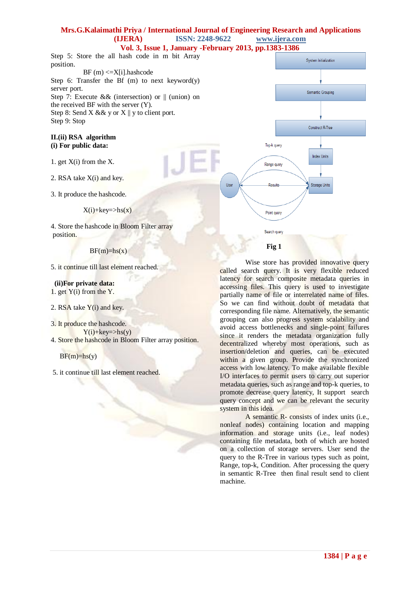#### **Mrs.G.Kalaimathi Priya / International Journal of Engineering Research and Applications (IJERA) ISSN: 2248-9622 www.ijera.com**

**Vol. 3, Issue 1, January -February 2013, pp.1383-1386** Step 5: Store the all hash code in m bit Array position. BF (m) <=X[i].hashcode Step 6: Transfer the Bf (m) to next keyword(y) server port. Step 7: Execute && (intersection) or  $\parallel$  (union) on the received BF with the server (Y). Step 8: Send X && y or  $X \parallel y$  to client port. Step 9: Stop

#### **II.(ii) RSA algorithm (i) For public data:**

- 1. get X(i) from the X.
- 2. RSA take X(i) and key.
- 3. It produce the hashcode.

4. Store the hashcode in Bloom Filter array position.

### $BF(m)=h s(x)$

5. it continue till last element reached.

 **(ii)For private data:** 1. get  $Y(i)$  from the Y.

- 2. RSA take  $Y(i)$  and key.
- 3. It produce the hashcode.  $Y(i)$ +key=>hs(y)
- 4. Store the hashcode in Bloom Filter array position.

 $BF(m)=h<sub>S</sub>(y)$ 

5. it continue till last element reached.

System Initialization Semantic Grouping Construct R-Tree Top-k query **Index Units** Range query **Reculte** Storage Units User Point query Search query  **Fig 1**

Wise store has provided innovative query called search query. It is very flexible reduced latency for search composite metadata queries in accessing files. This query is used to investigate partially name of file or interrelated name of files. So we can find without doubt of metadata that corresponding file name. Alternatively, the semantic grouping can also progress system scalability and avoid access bottlenecks and single-point failures since it renders the metadata organization fully decentralized whereby most operations, such as insertion/deletion and queries, can be executed within a given group. Provide the synchronized access with low latency. To make available flexible I/O interfaces to permit users to carry out superior metadata queries, such as range and top-k queries, to promote decrease query latency, It support search query concept and we can be relevant the security system in this idea.

A semantic R- consists of index units (i.e., nonleaf nodes) containing location and mapping information and storage units (i.e., leaf nodes) containing file metadata, both of which are hosted on a collection of storage servers. User send the query to the R-Tree in various types such as point, Range, top-k, Condition. After processing the query in semantic R-Tree then final result send to client machine.

 $X(i)$ +key=>hs(x)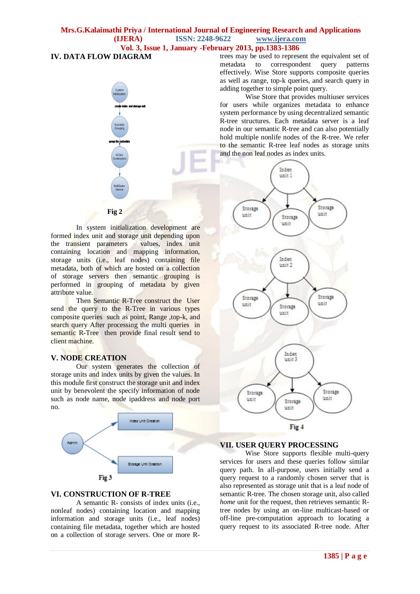# **Mrs.G.Kalaimathi Priya / International Journal of Engineering Research and Applications (IJERA) ISSN: 2248-9622 www.ijera.com Vol. 3, Issue 1, January -February 2013, pp.1383-1386**

## **IV. DATA FLOW DIAGRAM**

 **Fig 2**

In system initialization development are formed index unit and storage unit depending upon the transient parameters values, index unit containing location and mapping information, storage units (i.e., leaf nodes) containing file metadata, both of which are hosted on a collection of storage servers then semantic grouping is performed in grouping of metadata by given attribute value.

Then Semantic R-Tree construct the User send the query to the R-Tree in various types composite queries such as point, Range ,top-k, and search query After processing the multi queries in semantic R-Tree then provide final result send to client machine.

## **V. NODE CREATION**

Our system generates the collection of storage units and index units by given the values. In this module first construct the storage unit and index unit by benevolent the specify information of node such as node name, node ipaddress and node port no.



## **VI. CONSTRUCTION OF R-TREE**

A semantic R- consists of index units (i.e., nonleaf nodes) containing location and mapping information and storage units (i.e., leaf nodes) containing file metadata, together which are hosted on a collection of storage servers. One or more R- trees may be used to represent the equivalent set of metadata to correspondent query patterns effectively. Wise Store supports composite queries as well as range, top-k queries, and search query in adding together to simple point query.

Wise Store that provides multiuser services for users while organizes metadata to enhance system performance by using decentralized semantic R-tree structures. Each metadata server is a leaf node in our semantic R-tree and can also potentially hold multiple nonlife nodes of the R-tree. We refer to the semantic R-tree leaf nodes as storage units and the non leaf nodes as index units.



## **VII. USER QUERY PROCESSING**

Wise Store supports flexible multi-query services for users and these queries follow similar query path. In all-purpose, users initially send a query request to a randomly chosen server that is also represented as storage unit that is a leaf node of semantic R-tree. The chosen storage unit, also called *home* unit for the request, then retrieves semantic Rtree nodes by using an on-line multicast-based or off-line pre-computation approach to locating a query request to its associated R-tree node. After